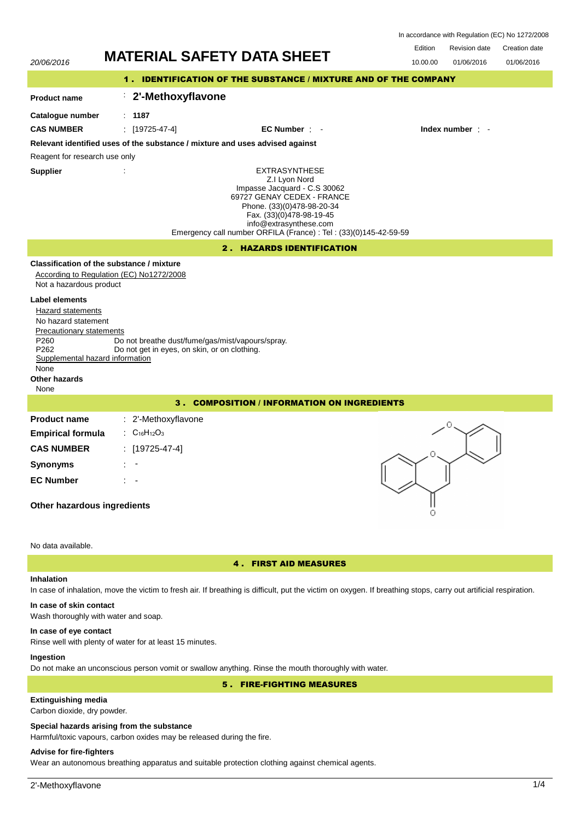|                                                                                                                                                                                                                                                                                                                   | In accordance with Regulation (EC) No 1272/2008                                                  |                                                                                                                                                                                                                                                              |          |                      |               |  |  |
|-------------------------------------------------------------------------------------------------------------------------------------------------------------------------------------------------------------------------------------------------------------------------------------------------------------------|--------------------------------------------------------------------------------------------------|--------------------------------------------------------------------------------------------------------------------------------------------------------------------------------------------------------------------------------------------------------------|----------|----------------------|---------------|--|--|
|                                                                                                                                                                                                                                                                                                                   | <b>MATERIAL SAFETY DATA SHEET</b>                                                                |                                                                                                                                                                                                                                                              | Edition  | <b>Revision date</b> | Creation date |  |  |
| 20/06/2016                                                                                                                                                                                                                                                                                                        |                                                                                                  |                                                                                                                                                                                                                                                              | 10.00.00 | 01/06/2016           | 01/06/2016    |  |  |
| 1. IDENTIFICATION OF THE SUBSTANCE / MIXTURE AND OF THE COMPANY                                                                                                                                                                                                                                                   |                                                                                                  |                                                                                                                                                                                                                                                              |          |                      |               |  |  |
| <b>Product name</b>                                                                                                                                                                                                                                                                                               | 2'-Methoxyflavone<br>÷.                                                                          |                                                                                                                                                                                                                                                              |          |                      |               |  |  |
| Catalogue number                                                                                                                                                                                                                                                                                                  | : 1187                                                                                           |                                                                                                                                                                                                                                                              |          |                      |               |  |  |
| <b>CAS NUMBER</b>                                                                                                                                                                                                                                                                                                 | $\frac{1}{2}$ [19725-47-4]                                                                       | EC Number : -                                                                                                                                                                                                                                                |          | Index number : -     |               |  |  |
|                                                                                                                                                                                                                                                                                                                   | Relevant identified uses of the substance / mixture and uses advised against                     |                                                                                                                                                                                                                                                              |          |                      |               |  |  |
| Reagent for research use only                                                                                                                                                                                                                                                                                     |                                                                                                  |                                                                                                                                                                                                                                                              |          |                      |               |  |  |
| <b>Supplier</b>                                                                                                                                                                                                                                                                                                   |                                                                                                  | <b>EXTRASYNTHESE</b><br>Z.I Lyon Nord<br>Impasse Jacquard - C.S 30062<br>69727 GENAY CEDEX - FRANCE<br>Phone. (33)(0)478-98-20-34<br>Fax. (33)(0)478-98-19-45<br>info@extrasynthese.com<br>Emergency call number ORFILA (France) : Tel : (33)(0)145-42-59-59 |          |                      |               |  |  |
|                                                                                                                                                                                                                                                                                                                   |                                                                                                  | 2. HAZARDS IDENTIFICATION                                                                                                                                                                                                                                    |          |                      |               |  |  |
| Classification of the substance / mixture<br>According to Regulation (EC) No1272/2008<br>Not a hazardous product<br><b>Label elements</b><br>Hazard statements<br>No hazard statement<br>Precautionary statements<br>P260<br>P <sub>262</sub><br>Supplemental hazard information<br>None<br>Other hazards<br>None | Do not breathe dust/fume/gas/mist/vapours/spray.<br>Do not get in eyes, on skin, or on clothing. |                                                                                                                                                                                                                                                              |          |                      |               |  |  |
| <b>3. COMPOSITION / INFORMATION ON INGREDIENTS</b>                                                                                                                                                                                                                                                                |                                                                                                  |                                                                                                                                                                                                                                                              |          |                      |               |  |  |
| <b>Product name</b><br><b>Empirical formula</b><br><b>CAS NUMBER</b><br><b>Synonyms</b><br><b>EC Number</b><br>Other hazardous ingredients                                                                                                                                                                        | : 2'-Methoxyflavone<br>: $C_{16}H_{12}O_3$<br>: $[19725-47-4]$                                   |                                                                                                                                                                                                                                                              | Ο<br>Ο   | Ο                    |               |  |  |

# No data available.

## 4 . FIRST AID MEASURES

# **Inhalation**

In case of inhalation, move the victim to fresh air. If breathing is difficult, put the victim on oxygen. If breathing stops, carry out artificial respiration.

# **In case of skin contact**

Wash thoroughly with water and soap.

### **In case of eye contact**

Rinse well with plenty of water for at least 15 minutes.

# **Ingestion**

Do not make an unconscious person vomit or swallow anything. Rinse the mouth thoroughly with water.

5 . FIRE-FIGHTING MEASURES

# **Extinguishing media**

Carbon dioxide, dry powder.

# **Special hazards arising from the substance**

Harmful/toxic vapours, carbon oxides may be released during the fire.

# **Advise for fire-fighters**

Wear an autonomous breathing apparatus and suitable protection clothing against chemical agents.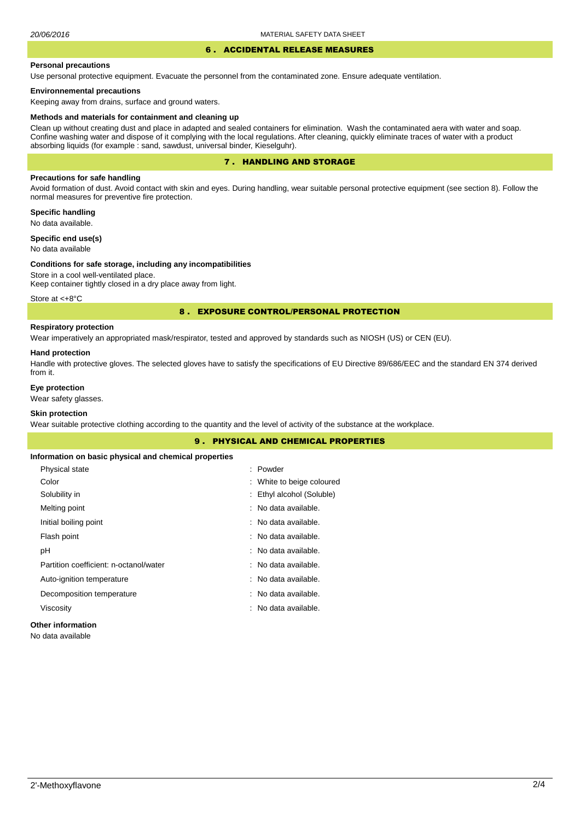# 6 . ACCIDENTAL RELEASE MEASURES

#### **Personal precautions**

Use personal protective equipment. Evacuate the personnel from the contaminated zone. Ensure adequate ventilation.

### **Environnemental precautions**

Keeping away from drains, surface and ground waters.

#### **Methods and materials for containment and cleaning up**

Clean up without creating dust and place in adapted and sealed containers for elimination. Wash the contaminated aera with water and soap. Confine washing water and dispose of it complying with the local regulations. After cleaning, quickly eliminate traces of water with a product absorbing liquids (for example : sand, sawdust, universal binder, Kieselguhr).

## 7 . HANDLING AND STORAGE

## **Precautions for safe handling**

Avoid formation of dust. Avoid contact with skin and eyes. During handling, wear suitable personal protective equipment (see section 8). Follow the normal measures for preventive fire protection.

**Specific handling** No data available.

# **Specific end use(s)**

No data available

#### **Conditions for safe storage, including any incompatibilities**

Store in a cool well-ventilated place. Keep container tightly closed in a dry place away from light.

Store at <+8°C

### 8 . EXPOSURE CONTROL/PERSONAL PROTECTION

### **Respiratory protection**

Wear imperatively an appropriated mask/respirator, tested and approved by standards such as NIOSH (US) or CEN (EU).

#### **Hand protection**

Handle with protective gloves. The selected gloves have to satisfy the specifications of EU Directive 89/686/EEC and the standard EN 374 derived from it.

## **Eye protection**

Wear safety glasses.

# **Skin protection**

Wear suitable protective clothing according to the quantity and the level of activity of the substance at the workplace.

|                                                       | <b>9. PHYSICAL AND CHEMICAL PROPERTIES</b> |  |
|-------------------------------------------------------|--------------------------------------------|--|
| Information on basic physical and chemical properties |                                            |  |
| Physical state                                        | : Powder                                   |  |
| Color                                                 | : White to beige coloured                  |  |
| Solubility in                                         | : Ethyl alcohol (Soluble)                  |  |
| Melting point                                         | : No data available.                       |  |
| Initial boiling point                                 | : No data available.                       |  |
| Flash point                                           | : No data available.                       |  |
| рH                                                    | : No data available.                       |  |
| Partition coefficient: n-octanol/water                | : No data available.                       |  |
| Auto-ignition temperature                             | : No data available.                       |  |
| Decomposition temperature                             | : No data available.                       |  |
| Viscosity                                             | : No data available.                       |  |
|                                                       |                                            |  |

# **Other information**

No data available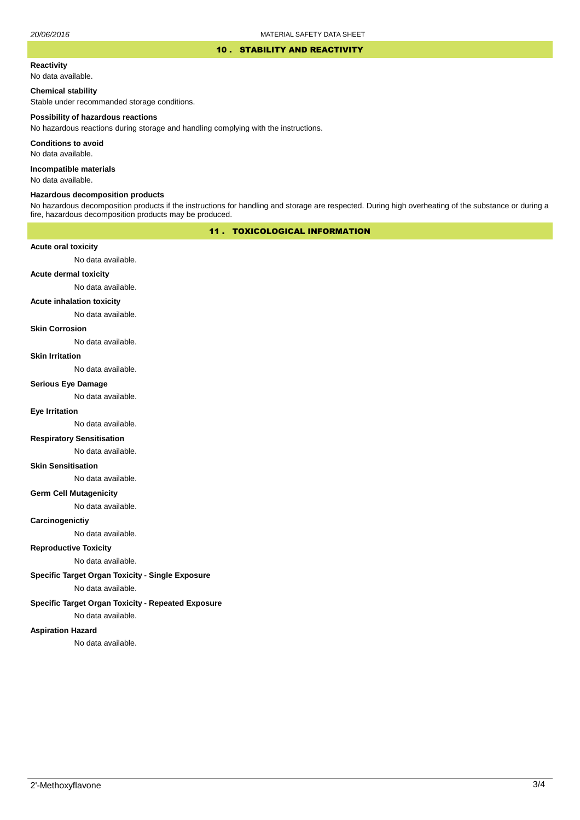#### 10 . STABILITY AND REACTIVITY

#### **Reactivity**

No data available.

### **Chemical stability**

Stable under recommanded storage conditions.

#### **Possibility of hazardous reactions**

No hazardous reactions during storage and handling complying with the instructions.

**Conditions to avoid**

No data available.

**Incompatible materials**

No data available.

#### **Hazardous decomposition products**

No hazardous decomposition products if the instructions for handling and storage are respected. During high overheating of the substance or during a fire, hazardous decomposition products may be produced.

# 11 . TOXICOLOGICAL INFORMATION

### **Acute oral toxicity**

No data available.

# **Acute dermal toxicity**

No data available.

### **Acute inhalation toxicity**

No data available.

### **Skin Corrosion**

No data available.

#### **Skin Irritation**

No data available.

# **Serious Eye Damage**

No data available.

# **Eye Irritation**

No data available.

### **Respiratory Sensitisation**

No data available.

#### **Skin Sensitisation**

No data available.

# **Germ Cell Mutagenicity**

No data available.

### **Carcinogenictiy**

No data available.

# **Reproductive Toxicity**

No data available.

# **Specific Target Organ Toxicity - Single Exposure**

No data available.

### **Specific Target Organ Toxicity - Repeated Exposure**

No data available.

#### **Aspiration Hazard**

No data available.